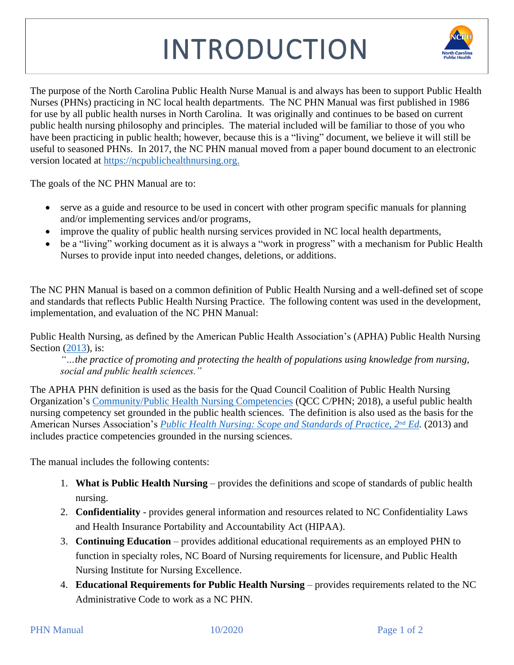## INTRODUCTION



The purpose of the North Carolina Public Health Nurse Manual is and always has been to support Public Health Nurses (PHNs) practicing in NC local health departments. The NC PHN Manual was first published in 1986 for use by all public health nurses in North Carolina. It was originally and continues to be based on current public health nursing philosophy and principles. The material included will be familiar to those of you who have been practicing in public health; however, because this is a "living" document, we believe it will still be useful to seasoned PHNs. In 2017, the NC PHN manual moved from a paper bound document to an electronic version located at [https://ncpublichealthnursing.org.](https://ncpublichealthnursing.org/)

The goals of the NC PHN Manual are to:

- serve as a guide and resource to be used in concert with other program specific manuals for planning and/or implementing services and/or programs,
- improve the quality of public health nursing services provided in NC local health departments,
- be a "living" working document as it is always a "work in progress" with a mechanism for Public Health Nurses to provide input into needed changes, deletions, or additions.

The NC PHN Manual is based on a common definition of Public Health Nursing and a well-defined set of scope and standards that reflects Public Health Nursing Practice. The following content was used in the development, implementation, and evaluation of the NC PHN Manual:

Public Health Nursing, as defined by the American Public Health Association's (APHA) Public Health Nursing Section [\(2013\)](https://www.apha.org/~/media/files/pdf/membergroups/phn/nursingdefinition.ashx), is:

*"…the practice of promoting and protecting the health of populations using knowledge from nursing, social and public health sciences."* 

The APHA PHN definition is used as the basis for the Quad Council Coalition of Public Health Nursing Organization's [Community/Public Health Nursing Competencies](http://www.quadcouncilphn.org/wp-content/uploads/2018/05/QCC-C-PHN-COMPETENCIES-Approved_2018.05.04_Final-002.pdf) (QCC C/PHN; 2018), a useful public health nursing competency set grounded in the public health sciences. The definition is also used as the basis for the American Nurses Association's *[Public Health Nursing: Scope and Standards of Practice, 2](https://www.nursingworld.org/nurses-books/public-health-nursing--scope--standards-of-practice-2nd-edition/)<sup>nd</sup> Ed.* (2013) and includes practice competencies grounded in the nursing sciences.

The manual includes the following contents:

- 1. **What is Public Health Nursing** provides the definitions and scope of standards of public health nursing.
- 2. **Confidentiality** provides general information and resources related to NC Confidentiality Laws and Health Insurance Portability and Accountability Act (HIPAA).
- 3. **Continuing Education**  provides additional educational requirements as an employed PHN to function in specialty roles, NC Board of Nursing requirements for licensure, and Public Health Nursing Institute for Nursing Excellence.
- 4. **Educational Requirements for Public Health Nursing** provides requirements related to the NC Administrative Code to work as a NC PHN.